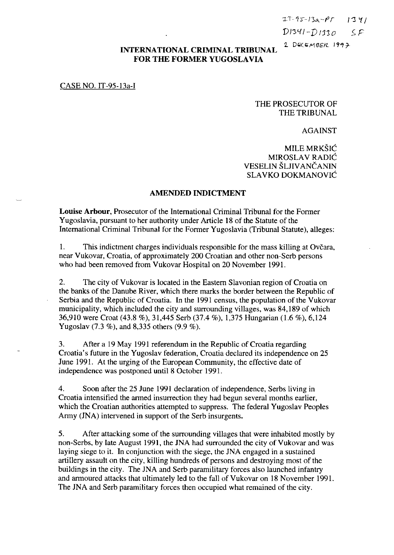$IT-95-13a-PT$  $1341$  $D1341 - D1330$  $C \subseteq$ 2 DECEMBER 1997

# **INTERNATIONAL CRIMINAL TRIBUNAL** FOR THE FORMER YUGOSLAVIA

CASE NO. IT-95-13a-I

THE PROSECUTOR OF THE TRIBUNAL

**AGAINST** 

MILE MRKŠIĆ MIROSLAV RADIĆ VESELIN ŠLJIVANČANIN SLAVKO DOKMANOVIĆ

### **AMENDED INDICTMENT**

**Louise Arbour, Prosecutor of the International Criminal Tribunal for the Former** Yugoslavia, pursuant to her authority under Article 18 of the Statute of the International Criminal Tribunal for the Former Yugoslavia (Tribunal Statute), alleges:

 $1<sub>1</sub>$ This indictment charges individuals responsible for the mass killing at Ovčara, near Vukovar, Croatia, of approximately 200 Croatian and other non-Serb persons who had been removed from Vukovar Hospital on 20 November 1991.

 $2.$ The city of Vukovar is located in the Eastern Slavonian region of Croatia on the banks of the Danube River, which there marks the border between the Republic of Serbia and the Republic of Croatia. In the 1991 census, the population of the Vukovar municipality, which included the city and surrounding villages, was 84,189 of which 36,910 were Croat (43.8 %), 31,445 Serb (37.4 %), 1,375 Hungarian (1.6 %), 6,124 Yugoslav  $(7.3 \%)$ , and 8,335 others  $(9.9 \%)$ .

 $3.$ After a 19 May 1991 referendum in the Republic of Croatia regarding Croatia's future in the Yugoslav federation, Croatia declared its independence on 25 June 1991. At the urging of the European Community, the effective date of independence was postponed until 8 October 1991.

 $\mathbf{A}_{\cdot}$ Soon after the 25 June 1991 declaration of independence, Serbs living in Croatia intensified the armed insurrection they had begun several months earlier, which the Croatian authorities attempted to suppress. The federal Yugoslav Peoples Army (JNA) intervened in support of the Serb insurgents.

5. After attacking some of the surrounding villages that were inhabited mostly by non-Serbs, by late August 1991, the JNA had surrounded the city of Vukovar and was laying siege to it. In conjunction with the siege, the JNA engaged in a sustained artillery assault on the city, killing hundreds of persons and destroying most of the buildings in the city. The JNA and Serb paramilitary forces also launched infantry and armoured attacks that ultimately led to the fall of Vukovar on 18 November 1991. The JNA and Serb paramilitary forces then occupied what remained of the city.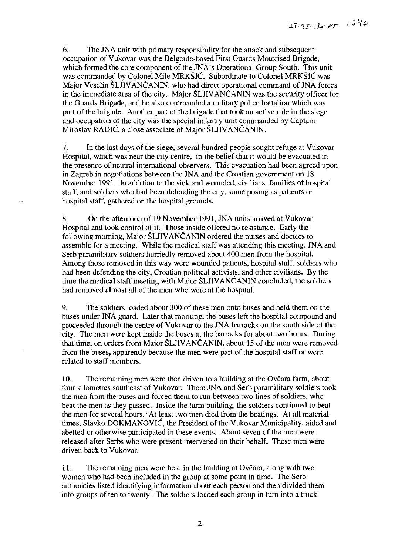6. The JNA unit with primary responsibility for the attack and subsequent occupation ot' Vukovar was the Belgrade-based First Guards Motorised Brigade, which formed the core component of the JNA's Operational Group South. This unit was commanded by Colonel Mile MRKŠIĆ. Subordinate to Colonel MRKŠIĆ was Major Veselin ŠLJIVANČANIN, who had direct operational command of JNA forces in the immediate area of the city. Major ŠLJIVANČANIN was the security officer for the Guards Brigade, and he also commanded а military роlјсе battalion which was part of the brigade. Another part of the brigade that took an active role in the siege and occupation of the city was the special infantry unit commanded by Captain Miroslav RADIĆ, a close associate of Major ŠLJIVANČANIN.

7. In the last days of the siege, several hundred people sought refuge at Vukovar Hospital, which was near the city centre, in the belief that it would be evacuated in the presence of neutral intemational observers. This evacuation had Ьееп agreed ироп in Zagreb in negotiations between the JNA and the Croatian government on 18 November 1991. In addition to the sick and wounded, civilians, families of hospital staff, and soldiers who had Ьееп defending the city, some posing as patients or hospital staff, gathered on the hospital grounds.

8. On the afternoon of 19 November 1991, JNA units arrived at Vukovar Hospital and took control of it. Those inside offered no resistance. Early the following moming, Major SLJIV ANCANIN ordered the nurses and doctors to assemble for a meeting. While the medical staff was attending this meeting, JNA and Serb paramilitary soldiers hurriedly removed about 400 men from the hospital. Among those removed in this way were wounded patients, hospital staff, soldiers who had been defending the city, Croatian political activists, and other civilians. By the time the medical staff meeting with Major ŠLJIV ANCANIN concluded, the soldiers had removed almost all of the men who were at the hospital.

9. The soldiers loaded about 300 of these men onto buses and held them on the buses under JNA guard. Later that morning, the buses left the hospital compound and proceeded through the centre of Vukovar to the JNA barracks оп the south side of the city. The men were kept inside the buses at the barracks for about two hours. During that time, on orders from Major SLJIVANCANIN, about 15 of the men were removed from the buses, apparently because the men were part of the hospital staff or were related to staff members.

10. The remaining men were then driven to a building at the Ovčara farm, about four kilometres southeast of Vukovar. There JNA and Serb paramilitary soldiers took the теп from the buses and forced them to run between two lines of soldiers, who beat the men as they passed. Inside the farm building, the soldiers continued to beat the men for several hours. At least two men died from the beatings. At all material times, Slavko DOKMANOVIC, the President of the Vukovar Municipality, aided and abetted or otherwise participated in these events. About seven of the men were released after Serbs who were present intervened оп their behalf. These теп were driven back to Vukovar.

11. The remaining men were held in the building at Ovčara, along with two women who had been included in the group at some point in time. The Serb authorities listed identifying information about each person and then divided them into groups of ten to twenty. The soldiers loaded each group in turn into a truck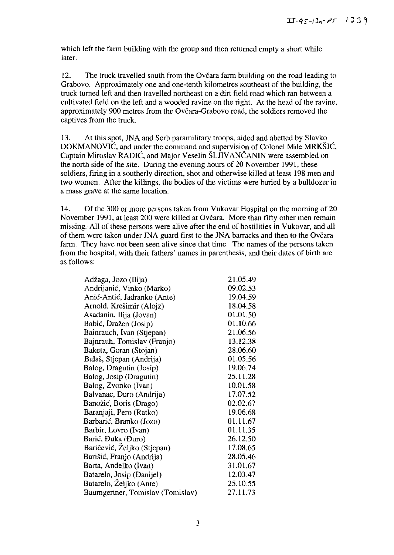which left the farm building with the group and then returned empty a short while later.

12. The truck travelled south from the Ovčara farm building on the road leading to Grabovo. Approximately one and one-tenth kilometres southeast of the building, the truck tumed left and then travelled northeast оп а dirt field road which ran between <sup>а</sup> cultivated field on the left and a wooded ravine on the right. At the head of the ravine, approximately 900 metres from the Ovčara-Grabovo road, the soldiers removed the captives from the truck.

13. At this spot, JNA and Serb paramilitary troops, aided and abetted by Slavko DOKMANOVIC, and under the command and supervision of Colonel Mile MRKŠIC, Captain Miroslav RADIĆ, and Major Veselin ŠLJIVANČANIN were assembled on the north side of the site. During the evening hours of  $20$  November 1991, these soldiers, firing in a southerly direction, shot and otherwise killed at least 198 men and two women. After the killings, the bodies of the victims were buried by a bulldozer in a mass grave at the same location.

14. Of the 300 or more persons taken from Vukovar Hospital on the morning of 20 November 1991, at least 200 were killed at Ovčara. More than fifty other men remain missing. All of these persons were alive after the end of hostilities in Vukovar, and all of them were taken under JNA guard first to the JNA barracks and then to the Оусага farm. They have not been seen alive since that time. The names of the persons taken from the hospital, with their fathers' names in parenthesis, and their dates of birth are as follows:

| Adžaga, Jozo (Ilija)             | 21.05.49 |
|----------------------------------|----------|
| Andrijanić, Vinko (Marko)        | 09.02.53 |
| Anić-Antić, Jadranko (Ante)      | 19.04.59 |
| Arnold, Krešimir (Alojz)         | 18.04.58 |
| Asadanin, Ilija (Jovan)          | 01.01.50 |
| Babić, Dražen (Josip)            | 01.10.66 |
| Bainrauch, Ivan (Stjepan)        | 21.06.56 |
| Bajnrauh, Tomislav (Franjo)      | 13.12.38 |
| Baketa, Goran (Stojan)           | 28.06.60 |
| Balaš, Stjepan (Andrija)         | 01.05.56 |
| Balog, Dragutin (Josip)          | 19.06.74 |
| Balog, Josip (Dragutin)          | 25.11.28 |
| Balog, Zvonko (Ivan)             | 10.01.58 |
| Balvanac, Đuro (Andrija)         | 17.07.52 |
| Banožić, Boris (Drago)           | 02.02.67 |
| Baranjaji, Pero (Ratko)          | 19.06.68 |
| Barbarić, Branko (Jozo)          | 01.11.67 |
| Barbir, Lovro (Ivan)             | 01.11.35 |
| Barić, Đuka (Đuro)               | 26.12.50 |
| Baričević, Željko (Stjepan)      | 17.08.65 |
| Barišić, Franjo (Andrija)        | 28.05.46 |
| Barta, Anđelko (Ivan)            | 31.01.67 |
| Batarelo, Josip (Danijel)        | 12.03.47 |
| Batarelo, Željko (Ante)          | 25.10.55 |
| Baumgertner, Tomislav (Tomislav) | 27.11.73 |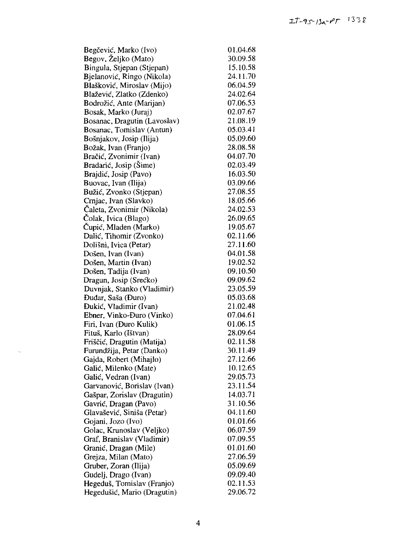| Begčević, Marko (Ivo)        | 01.04.68 |
|------------------------------|----------|
| Begov, Željko (Mato)         | 30.09.58 |
| Bingula, Stjepan (Stjepan)   | 15.10.58 |
| Bjelanović, Ringo (Nikola)   | 24.11.70 |
| Blašković, Miroslav (Mijo)   | 06.04.59 |
| Blažević, Zlatko (Zdenko)    | 24.02.64 |
| Bodrožić, Ante (Marijan)     | 07.06.53 |
| Bosak, Marko (Juraj)         | 02.07.67 |
| Bosanac, Dragutin (Lavoslav) | 21.08.19 |
| Bosanac, Tomislav (Antun)    | 05.03.41 |
| Bošnjakov, Josip (Ilija)     | 05.09.60 |
| Božak, Ivan (Franjo)         | 28.08.58 |
| Bračić, Zvonimir (Ivan)      | 04.07.70 |
|                              | 02.03.49 |
| Bradarić, Josip (Šime)       | 16.03.50 |
| Brajdić, Josip (Pavo)        |          |
| Buovac, Ivan (Ilija)         | 03.09.66 |
| Bužić, Zvonko (Stjepan)      | 27.08.55 |
| Crnjac, Ivan (Slavko)        | 18.05.66 |
| Čaleta, Zvonimir (Nikola)    | 24.02.53 |
| Čolak, Ivica (Blago)         | 26.09.65 |
| Čupić, Mladen (Marko)        | 19.05.67 |
| Dalić, Tihomir (Zvonko)      | 02.11.66 |
| Dolišni, Ivica (Petar)       | 27.11.60 |
| Došen, Ivan (Ivan)           | 04.01.58 |
| Došen, Martin (Ivan)         | 19.02.52 |
| Došen, Tadija (Ivan)         | 09.10.50 |
| Dragun, Josip (Srećko)       | 09.09.62 |
| Duvnjak, Stanko (Vladimir)   | 23.05.59 |
| Đuđar, Saša (Đuro)           | 05.03.68 |
| Đukić, Vladimir (Ivan)       | 21.02.48 |
| Ebner, Vinko-Đuro (Vinko)    | 07.04.61 |
| Firi, Ivan (Duro Kulik)      | 01.06.15 |
| Fituš, Karlo (Ištvan)        | 28.09.64 |
| Friščić, Dragutin (Matija)   | 02.11.58 |
| Furundžija, Petar (Danko)    | 30.11.49 |
| Gajda, Robert (Mihajlo)      | 27.12.66 |
| Galić, Milenko (Mate)        | 10.12.65 |
| Galić, Vedran (Ivan)         | 29.05.73 |
| Garvanović, Borislav (Ivan)  | 23.11.54 |
| Gašpar, Zorislav (Dragutin)  | 14.03.71 |
| Gavrić, Dragan (Pavo)        | 31.10.56 |
| Glavašević, Siniša (Petar)   | 04.11.60 |
| Gojani, Jozo (Ivo)           | 01.01.66 |
| Golac, Krunoslav (Veljko)    | 06.07.59 |
| Graf, Branislav (Vladimir)   | 07.09.55 |
| Granić, Dragan (Mile)        | 01.01.60 |
| Grejza, Milan (Mato)         | 27.06.59 |
|                              | 05.09.69 |
| Gruber, Zoran (Ilija)        | 09.09.40 |
| Gudelj, Drago (Ivan)         |          |
| Hegeduš, Tomislav (Franjo)   | 02.11.53 |
| Hegedušić, Mario (Dragutin)  | 29.06.72 |

 $\zeta_{\rm{max}}$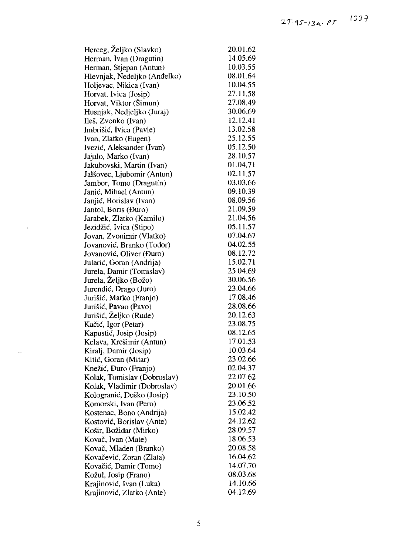Herceg, Ze1jko (Slavko) Herman, Ivan (Dragutin) Herman, Stjepan (Antun) Hlevnjak, Nedeliko (Anđelko) Holievac, Nikica (Ivan) Horvat, Ivica (Josip) Horvat, Viktor (Simun) Husnjak, Nedjeljko (Juraj) Iles, Zvonko (Ivan) Imbrišić, Ivica (Pavle) Ivan, Zlatko (Eugen) Ivezic, A1eksander (Ivan) lаја10, Marko (Ivan) lakubovski, Martin (Ivan) Jalšovec, Ljubomir (Antun) lатЬог, Тото (Dragutin) Janić, Mihael (Antun) Janjić, Borislav (Ivan) lanto1, Boris (Duro) Jarabek, Zlatko (Kamilo) lezidzic, Ivica (Stipo) 10уап, Zvonimir (V1atko) 10уапоујс, Branko (Todor) Jovanović, Oliver (Đuro) Jularić, Goran (Andrija) Jurela, Damir (Tomislav) Jurela, Željko (Božo) Jurendic, Drago (Јшо) Jurisic, Marko (Franjo) Jurisic, Рауао (Рауо) Jurisic, Ze1jko (Rude) Каčіć, Igor (Petar) Kapustic, Josip (Josip) Ке1ауа, Кresimir (Antun) Kiralj, Damir (Josip) Кitic, Goran (Mitar) Кnezic, Duro (Franjo) Ko1ak, Tomis1av (Dobros1av) Ko1ak, V1adimir (Dobros1av) Ko1ogranic, Dusko (Josip) Komorski, Ivan (Реro) Kostenac, Вопо (Andrija) Kostovic, Boris1av (Ante) Kosir, Bozidar (Mirko) Коуас, Ivan (Mate) Коуас, M1aden (Branko) Коуасеујс, Zoran (Zlata) Коуасјс, Оатјг (Тото) Kozu1, Josip (Frano) Krajinović, Ivan (Luka) Krajinović, Zlatko (Ante) 20.01.62 14.05.69 10.03.55 08.01.64 10.04.55 27.11.58 27.08.49 30.06.69 12.12.41 13.02.58 25.12.55 05.12.50 28.10.57 01.04.71 02.11.57 03.03.66 09.10.39 08.09.56 21.09.59 21.04.56 05.11.57 07.04.67 04.02.55 08.12.72 15.02.71 25.04.69 30.06.56 23.04.66 17.08.46 28.08.66 20.12.63 23.08.75 08.12.65 17.01.53 10.03.64 23.02.66 02.04.37 22.07.62 20.01.66 23.10.50 23.06.52 15.02.42 24.12.62 28.09.57 18.06.53 20.08.58 16.04.62 14.07.70 08.03.68 14.10.66 04.12.69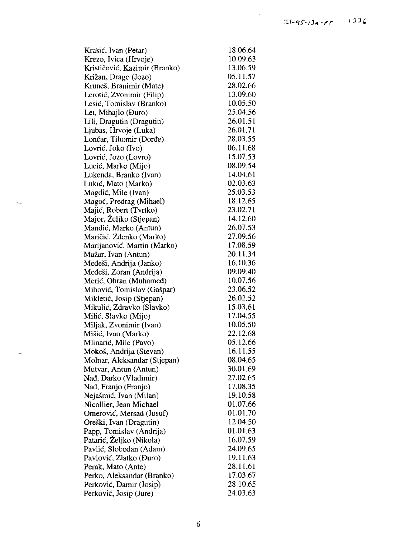$\overline{\phantom{a}}$ 

| Krasić, Ivan (Petar)          | 18.06.64 |
|-------------------------------|----------|
| Krezo, Ivica (Hrvoje)         | 10.09.63 |
| Krističević, Kazimir (Branko) | 13.06.59 |
| Križan, Drago (Jozo)          | 05.11.57 |
| Kruneš, Branimir (Mate)       | 28.02.66 |
| Lerotić, Zvonimir (Filip)     | 13.09.60 |
| Lesić, Tomislav (Branko)      | 10.05.50 |
| Let, Mihajlo (Đuro)           | 25.04.56 |
| Lili, Dragutin (Dragutin)     | 26.01.51 |
| Ljubas, Hrvoje (Luka)         | 26.01.71 |
| Lončar, Tihomir (Đorđe)       | 28.03.55 |
| Lovrić, Joko (Ivo)            | 06.11.68 |
| Lovrić, Jozo (Lovro)          | 15.07.53 |
| Lucić, Marko (Mijo)           | 08.09.54 |
| Lukenda, Branko (Ivan)        | 14.04.61 |
| Lukić, Mato (Marko)           | 02.03.63 |
| Magdić, Mile (Ivan)           | 25.03.53 |
| Magoč, Predrag (Mihael)       | 18.12.65 |
| Majić, Robert (Tvrtko)        | 23.02.71 |
| Major, Željko (Stjepan)       | 14.12.60 |
| Mandić, Marko (Antun)         | 26.07.53 |
| Maričić, Zdenko (Marko)       | 27.09.56 |
| Marijanović, Martin (Marko)   | 17.08.59 |
| Mažar, Ivan (Antun)           | 20.11.34 |
| Medeši, Andrija (Janko)       | 16.10.36 |
| Međeši, Zoran (Andrija)       | 09.09.40 |
|                               | 10.07.56 |
| Merić, Ohran (Muhamed)        | 23.06.52 |
| Mihović, Tomislav (Gašpar)    | 26.02.52 |
| Mikletić, Josip (Stjepan)     | 15.03.61 |
| Mikulić, Zdravko (Slavko)     |          |
| Milić, Slavko (Mijo)          | 17.04.55 |
| Miljak, Zvonimir (Ivan)       | 10.05.50 |
| Mišić, Ivan (Marko)           | 22.12.68 |
| Mlinarić, Mile (Pavo)         | 05 12.66 |
| Mokoš, Andrija (Stevan)       | 16.11.55 |
| Molnar, Aleksandar (Stjepan)  | 08.04.65 |
| Mutvar, Antun (Antun)         | 30.01.69 |
| Nad, Darko (Vladimir)         | 27.02.65 |
| Nađ, Franjo (Franjo)          | 17.08.35 |
| Nejašmić, Ivan (Milan)        | 19.10.58 |
| Nicollier, Jean Michael       | 01.07.66 |
| Omerović, Mersad (Jusuf)      | 01.01.70 |
| Oreški, Ivan (Dragutin)       | 12.04.50 |
| Papp, Tomislav (Andrija)      | 01.01.63 |
| Patarić, Željko (Nikola)      | 16.07.59 |
| Pavlić, Slobodan (Adam)       | 24.09.65 |
| Pavlović, Zlatko (Đuro)       | 19.11.63 |
| Perak, Mato (Ante)            | 28.11.61 |
| Perko, Aleksandar (Branko)    | 17.03.67 |
| Perković, Damir (Josip)       | 28.10.65 |
| Perković, Josip (Jure)        | 24.03.63 |

 $\bar{\beta}$ 

L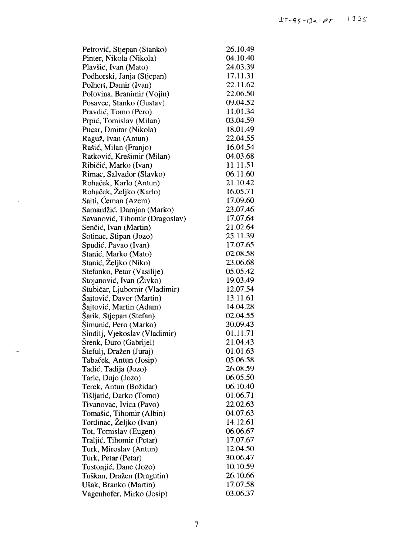Petrovic, Stjepan (Stanko) Pinter, Nikola (Nikola) Plavsic, Ivan (Mato) Podhorski, Janja (Stjepan) Polhert, Damir (Ivan) Polovina, Branimir (Vojin) Posavec, Stanko (Gustav) Pravdic, Тото (Рего) Prpic, Tomislav (Milan) Pucar, Dmitar (Nikola) Raguz, Ivan (Antun) Rasic, Milan (Franjo) Ratkovic, Кresimir (Milan) Ribicic, Marko (Ivan) Rimac, Salvador (Slavko) Rohaček, Karlo (Antun) Rohacek, Zeljko (Karlo) Saiti, Ceman (Azem) Samardzic, Damjan (Marko) Savanovic, Тihomir (Dragoslav) Senčić, Ivan (Martin) Sotinac, Stipan (Jozo) Spudic, Рауао (lvan) Stanic, Marko (Mato) Stanic, Zeljko (Niko) Stefanko, Petar (Vasilije) Stojanović, Ivan (Živko) Stubicar, Ljubomir (Vladimir) Sajtovic, Davor (Martin) Sajtovic, Martin (Adam) Sarik, Stjepan (Stefan) Simunic, Pero (Marko) Sindilj, Vjekoslav (Vladimir) Srenk, Duro (Gabrijel) Stefulj, Drazen (Јшај) Tabaček, Antun (Josip) Tadic, Tadija (Jozo) Tarle, Dujo (Jozo) Terek, Antun (Božidar) Тisljaric, Darko (Тото) Тivanovac, Iујса (Рауо) Tomasic, Тihomir (AIbin) Tordinac, Željko (Ivan) Tot, Tomislav (Eugen) Тгаlјјс, Тihomir (Petar) Turk, Miroslav (Antun) Turk, Petar (Petar) Tustonjic, Dane (Jozo) Tuskan, Drazen (Dragutin) USak, Branko (Martin) Vagenhofer, Mirko (Josip)

26.10.49 04.10.40 24.03.39 17.11.31 22.11.62 22.06.50 09.04.52 11.01.34 03.04.59 18.01.49 22.04.55 16.04.54 04.03.68 11.11.51 06.11.60 21.10.42 16.05.71 17.09.60 23.07.46 17.07.64 21.02.64 25.11.39 17.07.65 02.08.58 23.06.68 05.05.42 19.03.49 12.07.54 13.11.61 14.04.28 02.04.55 30.09.43 01.11.71 21.04.43 01.01.63 05.06.58 26.08.59 06.05.50 06.10.40 01.06.71 22.02.63 04.07.63 14.12.61 06.06.67 17.07.67 12.04.50 30.06.47 10.10.59 26.10.66 17.07.58 03.06.37

7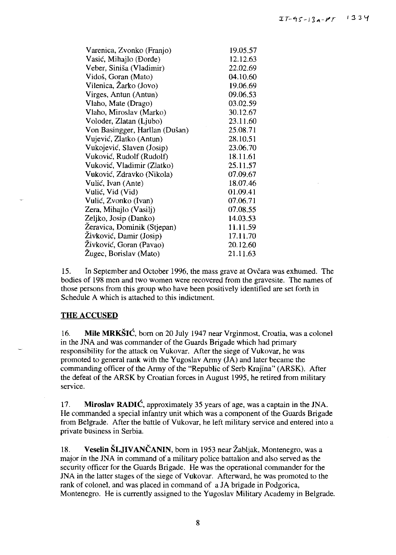| Varenica, Zvonko (Franjo)      | 19.05.57 |
|--------------------------------|----------|
| Vasić, Mihajlo (Đorđe)         | 12.12.63 |
| Veber, Siniša (Vladimir)       | 22.02.69 |
| Vidoš, Goran (Mato)            | 04.10.60 |
| Vilenica, Žarko (Jovo)         | 19.06.69 |
| Virges, Antun (Antun)          | 09.06.53 |
| Vlaho, Mate (Drago)            | 03.02.59 |
| Vlaho, Miroslav (Marko)        | 30.12.67 |
| Voloder, Zlatan (Ljubo)        | 23.11.60 |
| Von Basingger, Harllan (Dušan) | 25.08.71 |
| Vujević, Zlatko (Antun)        | 28.10.51 |
| Vukojević, Slaven (Josip)      | 23.06.70 |
| Vuković, Rudolf (Rudolf)       | 18.11.61 |
| Vuković, Vladimir (Zlatko)     | 25.11.57 |
| Vuković, Zdravko (Nikola)      | 07.09.67 |
| Vulić, Ivan (Ante)             | 18.07.46 |
| Vulić, Vid (Vid)               | 01.09.41 |
| Vulić, Zvonko (Ivan)           | 07.06.71 |
| Zera, Mihajlo (Vasilj)         | 07.08.55 |
| Zeljko, Josip (Danko)          | 14.03.53 |
| Zeravica, Dominik (Stjepan)    | 11.11.59 |
| Živković, Damir (Josip)        | 17.11.70 |
| Živković, Goran (Pavao)        | 20.12.60 |
| Žugec, Borislav (Mato)         | 21.11.63 |

In September and October 1996, the mass grave at Ovčara was exhumed. The 15. bodies of 198 men and two women were recovered from the gravesite. The names of those persons from this group who have been positively identified are set forth in Schedule A which is attached to this indictment.

#### **THE ACCUSED**

 $16.$ Mile MRKŠIĆ, born on 20 July 1947 near Vrginmost, Croatia, was a colonel in the JNA and was commander of the Guards Brigade which had primary responsibility for the attack on Vukovar. After the siege of Vukovar, he was promoted to general rank with the Yugoslav Army (JA) and later became the commanding officer of the Army of the "Republic of Serb Krajina" (ARSK). After the defeat of the ARSK by Croatian forces in August 1995, he retired from military service.

Miroslav RADIĆ, approximately 35 years of age, was a captain in the JNA. 17. He commanded a special infantry unit which was a component of the Guards Brigade from Belgrade. After the battle of Vukovar, he left military service and entered into a private business in Serbia.

Veselin ŠLJIVANČANIN, born in 1953 near Žabljak, Montenegro, was a 18. major in the JNA in command of a military police battalion and also served as the security officer for the Guards Brigade. He was the operational commander for the JNA in the latter stages of the siege of Vukovar. Afterward, he was promoted to the rank of colonel, and was placed in command of a JA brigade in Podgorica, Montenegro. He is currently assigned to the Yugoslav Military Academy in Belgrade.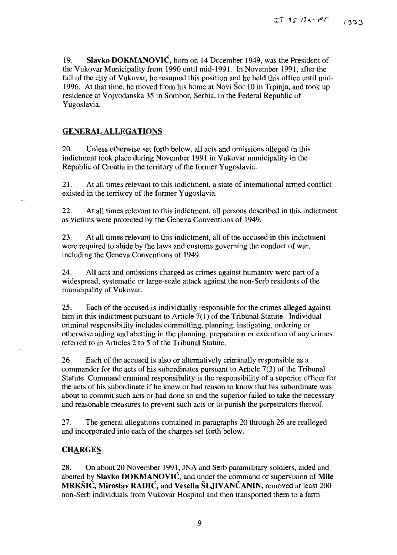19. **Slavko DOKMANOVIĆ**, born on 14 December 1949, was the President of the Vukovar Municipality from 1990 until mid-1991. **In** November 1991, after the fall of the city of Vukovar, he resumed this position and he held this office until mid-1996. **At** that time, ће moved from his ћоте at Novi Sor 10 јп Trpinja, and took ир residence at Vojvođanska 35 in Sombor, Serbia, in the Federal Republic of Yugoslavia,

# **GENERAL ALLEGATIONS**

20. Unless otherwise set forth below, all acts and omissions alleged in this indictment took place during November 1991 in Vukovar municipality in the Republic of Croatia in the territory of the former Yugoslavia.

21, **At** аН times relevant to this indictment, а state of intemational armed conflict existed in the territory of the former Yugoslavia.

22. **At** аН times relevant to this indictment, аН persons described јп this indictment as victims were protected Ьу the Geneva Conventions of 1949.

23, **At** аН times relevant to this indictment, аН of the accused јп this indictment were required to abide by the laws and customs governing the conduct of war, including the Geneva Conventions of 1949.

24. АН acts and omissions charged as crimes against humanity were part of <sup>а</sup> widespread, systematic or large-scale attack against the non-Serb residents of the municipality of Vukovar.

25. Еасћ of the accused is individually responsible for the crimes alleged against him in this indictment pursuant to Article  $7(1)$  of the Tribunal Statute. Individual criminal responsibility includes committing, planning, instigating, ordering or otherwise aiding and abetting јп the planning, preparation or execution of апу crimes referred to in Articles 2 to 5 of the Tribunal Statute.

26, Еасћ of the accused is also or altematively criminally responsible as <sup>а</sup> commander for the acts of his subordinates pursuant to Article  $7(3)$  of the Tribunal Statute. Command criminal responsibility is the responsibility of а superior officer for the acts of his subordinate if ће knew or had reason to know that his subordinate was about to commit such acts or had done so and the superior failed to take the necessary and reasonable measures to prevent such acts or to punish the perpetrators thereof.

27. The general allegations contained in paragraphs 20 through 26 are realleged and incorporated into еасћ of the charges set forth below.

# **CHARGES**

28. Оп about 20 November 1991, **JNA** and Serb paramilitary soldiers, aided and abetted Ьу **Slavko DOKMANOVIC,** and under the command or supervision of Мilе MRKŠIĆ, Miroslav RADIĆ, and Veselin ŠLJIVANČANIN, removed at least 200 non-Serb individuals from Vukovar Hospital and then transported them to a farm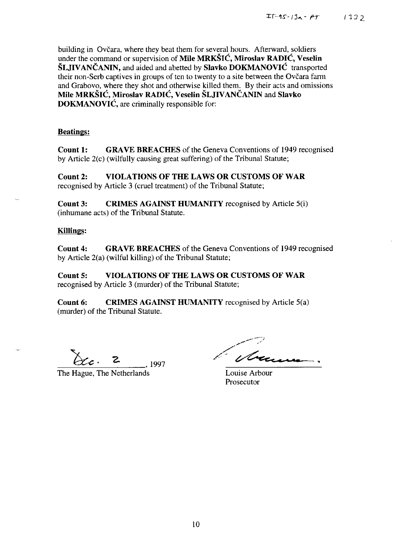building in Ovčara, where they beat them for several hours. Afterward, soldiers under the command or supervision of Мilе **MRKSIC:, Miroslav RADIC, Veselin SLJIV ANCANIN,** and aided and abetted Ьу **Slavko DOKMANOVIC** transported their non-Serb captives in groups of ten to twenty to a site between the Ovčara farm and Grabovo, where they shot and otherwise killed them. Ву their acts and omissions Мilе **MRKSIC, Miroslav RADIC, Veselin SLJIVANCANIN** and **Slavko DOKMANOVIĆ, are criminally responsible for:** 

### **Beatings:**

**Count 1:** GRAVE BREACHES of the Geneva Conventions of 1949 recognised Ьу Article 2(с) (wi1fully causing great suffering) of the Tribunal Statute;

**Count 2: VIOLATIONS OF THE LAWS OR CUSTOMS OF WAR** recognised Ьу Article 3 (cruel treatment) of the Tribunal Statute;

**Count 3: CRIMES AGAINST HUMANITY recognised by Article 5(i)** (јпћиmапе acts) of the Tribuna1 Statute.

#### **Killings:**

**Count 4: GRAVE BREACHES** of the Geneva Conventions of 1949 recognised Ьу Artic1e 2(а) (wilfu1 kil1ing) of the Tribunal Statute;

**Count 5: VIOLATIONS OF THE LAWS OR CUSTOMS OF WAR** recognised by Article 3 (murder) of the Tribunal Statute;

**Count 6: CRIMES AGAINST HUMANITY recognised by Article 5(a)** (murder) of the Tribuna1 Statute.

 $2$  , 1997

Тће Hague, Тће Netherlands

Louise Arbour Prosecutor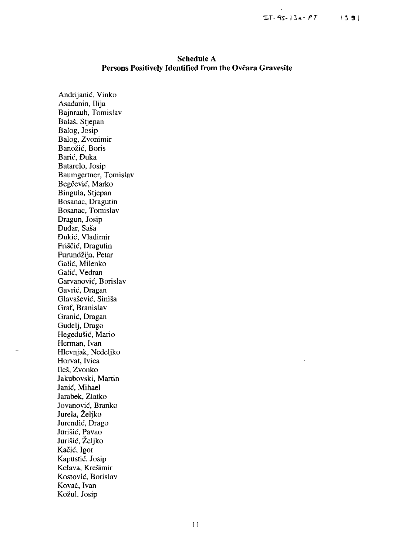# **Schedule A** Persons Positively Identified from the Ovčara Gravesite

Andrijanić, Vinko Asadanin, Ilija Bajnrauh, Tomislav Balaš, Stjepan Balog, Josip Balog, Zvonimir Banožić, Boris Barić, Đuka Batarelo, Josip Baumgertner, Tomislav Begčević, Marko Bingula, Stjepan Bosanac, Dragutin Bosanac, Tomislav Dragun, Josip Đuđar, Saša Đukić, Vladimir Friščić, Dragutin Furundžija, Petar Galić, Milenko Galić, Vedran Garvanović, Borislav Gavrić, Dragan Glavašević, Siniša Graf, Branislav Granić, Dragan Gudelj, Drago Hegedušić, Mario Herman, Ivan Hlevnjak, Nedeljko Horvat, Ivica Ileš. Zvonko Jakubovski, Martin Janić, Mihael Jarabek, Zlatko Jovanović, Branko Jurela, Željko Jurendić, Drago Jurišić, Pavao Jurišić, Željko Kačić, Igor Kapustić, Josip Kelava, Krešimir Kostović, Borislav Kovač, Ivan Kožul, Josip